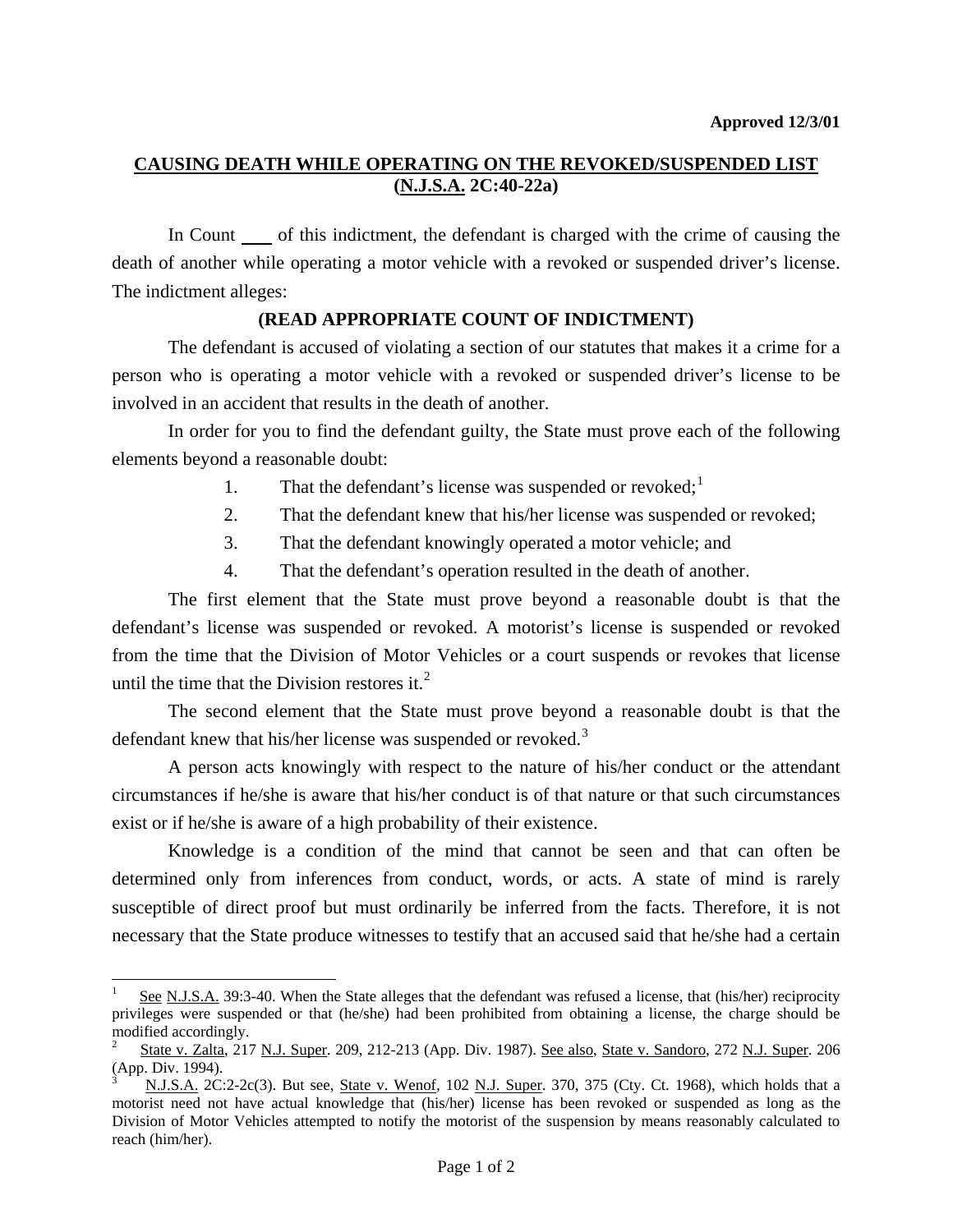## **CAUSING DEATH WHILE OPERATING ON THE REVOKED/SUSPENDED LIST (N.J.S.A. 2C:40-22a)**

In Count of this indictment, the defendant is charged with the crime of causing the death of another while operating a motor vehicle with a revoked or suspended driver's license. The indictment alleges:

## **(READ APPROPRIATE COUNT OF INDICTMENT)**

 The defendant is accused of violating a section of our statutes that makes it a crime for a person who is operating a motor vehicle with a revoked or suspended driver's license to be involved in an accident that results in the death of another.

 In order for you to find the defendant guilty, the State must prove each of the following elements beyond a reasonable doubt:

- [1](#page-0-0). That the defendant's license was suspended or revoked; $<sup>1</sup>$ </sup>
- 2. That the defendant knew that his/her license was suspended or revoked;
- 3. That the defendant knowingly operated a motor vehicle; and
- 4. That the defendant's operation resulted in the death of another.

 The first element that the State must prove beyond a reasonable doubt is that the defendant's license was suspended or revoked. A motorist's license is suspended or revoked from the time that the Division of Motor Vehicles or a court suspends or revokes that license until the time that the Division restores it. $<sup>2</sup>$  $<sup>2</sup>$  $<sup>2</sup>$ </sup>

 The second element that the State must prove beyond a reasonable doubt is that the defendant knew that his/her license was suspended or revoked.<sup>[3](#page-0-2)</sup>

 A person acts knowingly with respect to the nature of his/her conduct or the attendant circumstances if he/she is aware that his/her conduct is of that nature or that such circumstances exist or if he/she is aware of a high probability of their existence.

 Knowledge is a condition of the mind that cannot be seen and that can often be determined only from inferences from conduct, words, or acts. A state of mind is rarely susceptible of direct proof but must ordinarily be inferred from the facts. Therefore, it is not necessary that the State produce witnesses to testify that an accused said that he/she had a certain

l

<span id="page-0-0"></span><sup>1</sup> See N.J.S.A. 39:3-40. When the State alleges that the defendant was refused a license, that (his/her) reciprocity privileges were suspended or that (he/she) had been prohibited from obtaining a license, the charge should be modified accordingly.

<span id="page-0-1"></span><sup>2</sup> State v. Zalta, 217 N.J. Super. 209, 212-213 (App. Div. 1987). See also, State v. Sandoro, 272 N.J. Super. 206 (App. Div. 1994).

<span id="page-0-3"></span><span id="page-0-2"></span><sup>3</sup> N.J.S.A. 2C:2-2c(3). But see, State v. Wenof, 102 N.J. Super. 370, 375 (Cty. Ct. 1968), which holds that a motorist need not have actual knowledge that (his/her) license has been revoked or suspended as long as the Division of Motor Vehicles attempted to notify the motorist of the suspension by means reasonably calculated to reach (him/her).